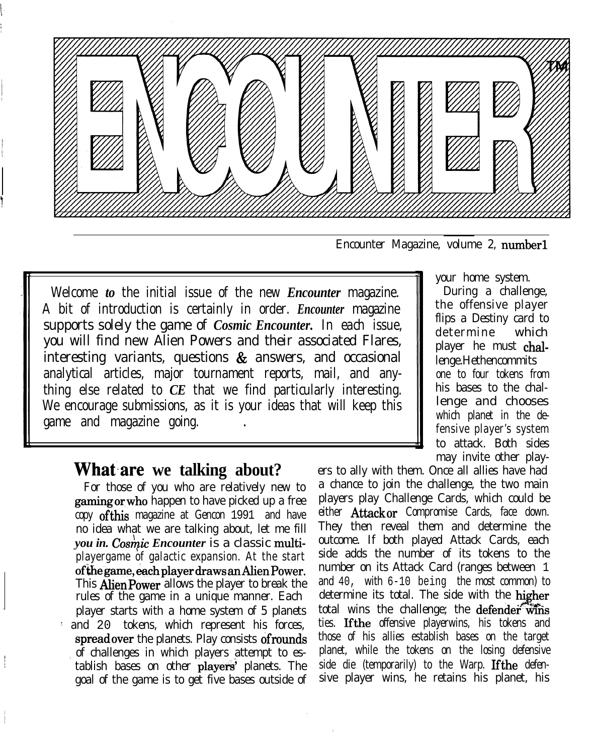

Encounter Magazine, volume 2, number1

Welcome *to* the initial issue of the new *Encounter* magazine. A bit of introduction is certainly in order. *Encounter* magazine supports solely the game of *Cosmic Encounter.* In each issue, you will find new Alien Powers and their associated Flares, interesting variants, questions & answers, and occasional analytical articles, major tournament reports, mail, and anything else related to *CE* that we find particularly interesting. We encourage submissions, as it is your ideas that will keep this game and magazine going. .

#### **What are we talking about?**

b' i i

i

For those of you who are relatively new to gaming or who happen to have picked up a free copy ofthis magazine at Gencon 1991 and have no idea what we are talking about, let me fill *you in. Cosmic Encounter* is a classic multiplayergame of galactic expansion. At the start ofthegame, eachplayerdraws anAlienPower. This AlienPower allows the player to break the rules of the game in a unique manner. Each player starts with a home system of 5 planets : and 20 tokens, which represent his forces, spread over the planets. Play consists of rounds of challenges in which players attempt to establish bases on other players' planets. The goal of the game is to get five bases outside of

your home system. During a challenge,

the offensive player flips a Destiny card to determine which player he must challenge.Hethencommits one to four tokens from his bases to the challenge and chooses which planet in the defensive player's system to attack. Both sides may invite other play-

ers to ally with them. Once all allies have had a chance to join the challenge, the two main players play Challenge Cards, which could be either Attack or Compromise Cards, face down. They then reveal them and determine the outcome. If both played Attack Cards, each side adds the number of its tokens to the number on its Attack Card (ranges between 1 and 40, with 6-10 being the most common) to determine its total. The side with the higher total wins the challenge; the defender wins ties. Ifthe offensive playerwins, his tokens and those of his allies establish bases on the target planet, while the tokens on the losing defensive side die (temporarily) to the Warp. If the defensive player wins, he retains his planet, his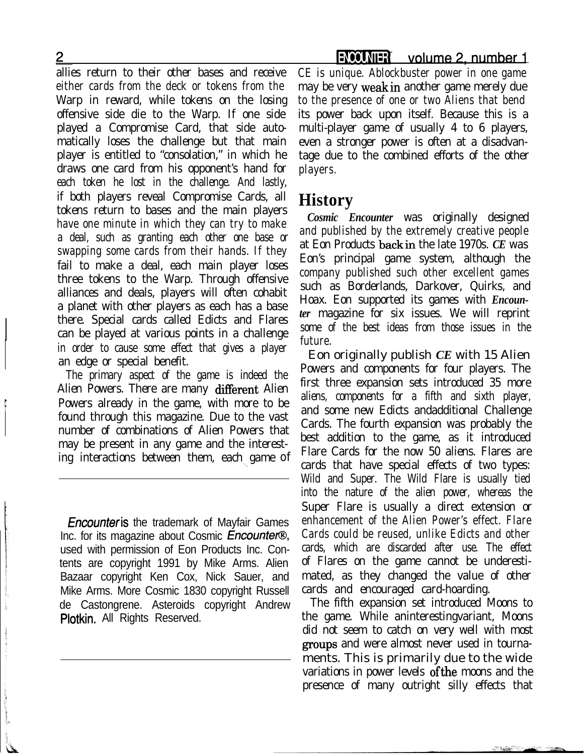allies return to their other bases and receive either cards from the deck or tokens from the Warp in reward, while tokens on the losing offensive side die to the Warp. If one side played a Compromise Card, that side automatically loses the challenge but that main player is entitled to "consolation," in which he draws one card from his opponent's hand for each token he lost in the challenge. And lastly, if both players reveal Compromise Cards, all tokens return to bases and the main players have one minute in which they can try to make a deal, such as granting each other one base or swapping some cards from their hands. If they fail to make a deal, each main player loses three tokens to the Warp. Through offensive alliances and deals, players will often cohabit a planet with other players as each has a base there. Special cards called Edicts and Flares can be played at various points in a challenge in order to cause some effect that gives a player an edge or special benefit.

The primary aspect of the game is indeed the Alien Powers. There are many different Alien Powers already in the game, with more to be found through this magazine. Due to the vast number of combinations of Alien Powers that may be present in any game and the interesting interactions between them, each game of

**Encounter is** the trademark of Mayfair Games Inc. for its magazine about Cosmic Encounter®, used with permission of Eon Products Inc. Contents are copyright 1991 by Mike Arms. Alien Bazaar copyright Ken Cox, Nick Sauer, and Mike Arms. More Cosmic 1830 copyright Russell de Castongrene. Asteroids copyright Andrew Plotkin. All Rights Reserved.

CE is unique. Ablockbuster power in one game may be very weakin another game merely due to the presence of one or two Aliens that bend its power back upon itself. Because this is a multi-player game of usually 4 to 6 players, even a stronger power is often at a disadvantage due to the combined efforts of the other players.

### **History**

*Cosmic Encounter* was originally designed and published by the extremely creative people at Eon Products backin the late 1970s. *CE* was Eon's principal game system, although the company published such other excellent games such as Borderlands, Darkover, Quirks, and Hoax. Eon supported its games with *Encounter* magazine for six issues. We will reprint some of the best ideas from those issues in the future.

Eon originally publish *CE* with 15 Alien Powers and components for four players. The first three expansion sets introduced 35 more aliens, components for a fifth and sixth player, and some new Edicts andadditional Challenge Cards. The fourth expansion was probably the best addition to the game, as it introduced Flare Cards for the now 50 aliens. Flares are cards that have special effects of two types: Wild and Super. The Wild Flare is usually tied into the nature of the alien power, whereas the Super Flare is usually a direct extension or enhancement of the Alien Power's effect. Flare Cards could be reused, unlike Edicts and other cards, which are discarded after use. The effect of Flares on the game cannot be underestimated, as they changed the value of other cards and encouraged card-hoarding.

The fifth expansion set introduced Moons to the game. While aninterestingvariant, Moons did not seem to catch on very well with most groups and were almost never used in tournaments. This is primarily due to the wide variations in power levels ofthe moons and the presence of many outright silly effects that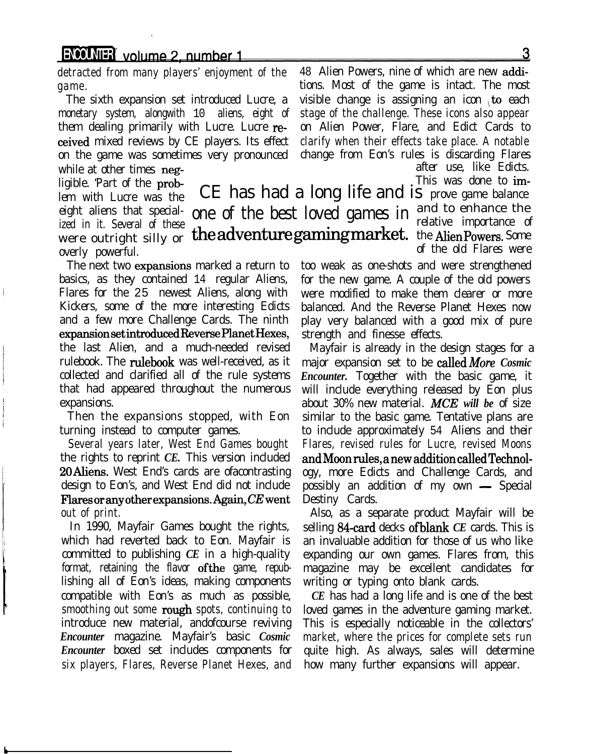### ENCOMIER volume 2, number 1

monetary system, alongwith 10 aliens, eight of stage of the challenge. These icons also appear them dealing primarily with Lucre. Lucre re- on Alien Power, Flare, and Edict Cards to ceived mixed reviews by CE players. Its effect clarify when their effects take place. A notable on the game was sometimes very pronounced change from Eon's rules is discarding Flares while at other times neg-<br>after use, like Edicts.

eight aliens that special-one of the best loved games in ized in it. Several of these overly powerful.

The next two expansions marked a return to basics, as they contained 14 regular Aliens, Flares for the 25 newest Aliens, along with Kickers, some of the more interesting Edicts and a few more Challenge Cards. The ninth expansionsetintroducedReversePlanetHexes, the last Alien, and a much-needed revised rulebook. The rulebook was well-received, as it collected and clarified all of the rule systems that had appeared throughout the numerous expansions.

Then the expansions stopped, with Eon turning instead to computer games.

Several years later, West End Games bought the rights to reprint *CE.* This version included 20 Aliens. West End's cards are ofacontrasting design to Eon's, and West End did not include Flares or any other expansions. Again,  $CE$  went out of print.

In 1990, Mayfair Games bought the rights, which had reverted back to Eon. Mayfair is committed to publishing *CE* in a high-quality format, retaining the flavor ofthe game, republishing all of Eon's ideas, making components compatible with Eon's as much as possible, smoothing out some rough spots, continuing to introduce new material, andofcourse reviving *Encounter* magazine. Mayfair's basic *Cosmic Encounter* boxed set includes components for six players, Flares, Reverse Planet Hexes, and

detracted from many players' enjoyment of the 48 Alien Powers, nine of which are new addigame. tions. Most of the game is intact. The most The sixth expansion set introduced Lucre, a visible change is assigning an icon to each

ligible. 'Part of the prob-  $\sigma$ lem with Lucre was the CE has had a long life and is prove game balance were outright silly or the adventure gaming market. the Alien Powers. Some and to enhance the relative importance of of the old Flares were

> too weak as one-shots and were strengthened for the new game. A couple of the old powers were modified to make them clearer or more balanced. And the Reverse Planet Hexes now play very balanced with a good mix of pure strength and finesse effects.

> Mayfair is already in the design stages for a major expansion set to be calledMore *Cosmic Encounter.* Together with the basic game, it will include everything released by Eon plus about 30% new material. *MCE will be* of size similar to the basic game. Tentative plans are to include approximately 54 Aliens and their Flares, revised rules for Lucre, revised Moons andMoonrules, anewadditioncalledTechnology, more Edicts and Challenge Cards, and possibly an addition of my own  $-$  Special Destiny Cards.

> Also, as a separate product Mayfair will be selling 84-card decks of blank *CE* cards. This is an invaluable addition for those of us who like expanding our own games. Flares from, this magazine may be excellent candidates for writing or typing onto blank cards.

> *CE* has had a long life and is one of the best loved games in the adventure gaming market. This is especially noticeable in the collectors' market, where the prices for complete sets run quite high. As always, sales will determine how many further expansions will appear.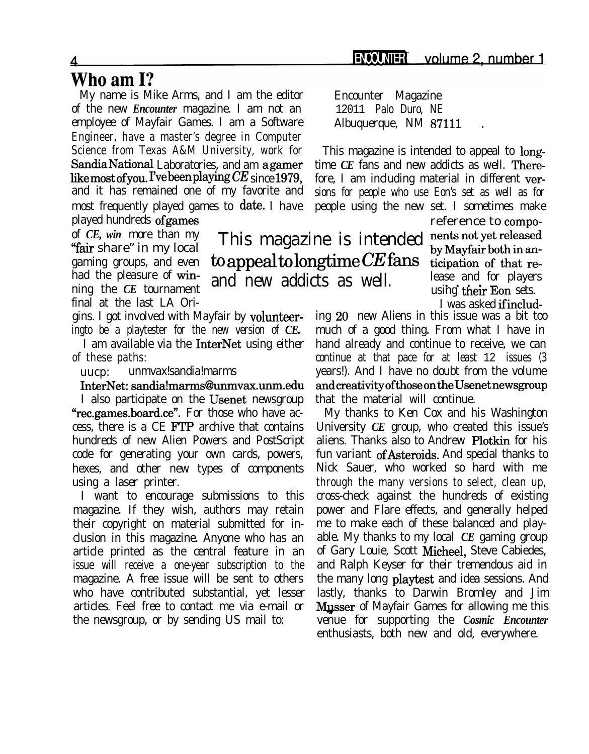### Who am I?

My name is Mike Arms, and I am the editor Encounter Magazine of the new *Encounter* magazine. I am not an 12011 Palo Duro, NE employee of Mayfair Games. I am a Software Albuquerque, NM 87111 Engineer, have a master's degree in Computer Science from Texas A&M University, work for This magazine is intended to appeal to long-SandiaNational Laboratories, and am agamer time *CE* fans and new addicts as well. Therelike most of you. I've been playing  $CE$  since 1979, fore, I am including material in different verand it has remained one of my favorite and sions for people who use Eon's set as well as for most frequently played games to date. I have people using the new set. I sometimes make played hundreds ofgames reference to compo-

of *CE, win* more than my final at the last LA Ori-

gins. I got involved with Mayfair by volunteeringto be a playtester for the new version of *CE.*

I am available via the InterNet using either of these paths:

uucp: unmvax!sandia!marms

InterNet: sandia!marms@unmvax.unm.edu

I also participate on the Usenet newsgroup "rec.games.board.ce". For those who have access, there is a CE FTP archive that contains hundreds of new Alien Powers and PostScript code for generating your own cards, powers, hexes, and other new types of components using a laser printer.

I want to encourage submissions to this magazine. If they wish, authors may retain their copyright on material submitted for inclusion in this magazine. Anyone who has an article printed as the central feature in an issue will receive a one-year subscription to the magazine. A free issue will be sent to others who have contributed substantial, yet lesser articles. Feel free to contact me via e-mail or the newsgroup, or by sending US mail to:

of *CE*, win more than my This magazine is intended nents not yet released "fair share" in my local gaming groups, and even  $\omega$  **to appeal to longtime CE** fans  $\omega$  dicipation of that related the pleasure of win- $\frac{d}{dt}$  had the pleasure of win-<br>ning the *CE* tournament **and** new addicts as well. lease and for players

using their Eon sets.

I was asked ifinclud-

ing 20 new Aliens in this issue was a bit too much of a good thing. From what I have in hand already and continue to receive, we can continue at that pace for at least 12 issues (3 years!). And I have no doubt from the volume andcreativityofthoseontheUsenetnewsgroup that the material will continue.

My thanks to Ken Cox and his Washington University *CE* group, who created this issue's aliens. Thanks also to Andrew Plotkin for his fun variant ofAsteroids. And special thanks to Nick Sauer, who worked so hard with me through the many versions to select, clean up, cross-check against the hundreds of existing power and Flare effects, and generally helped me to make each of these balanced and playable. My thanks to my local *CE* gaming group of Gary Louie, Scott Micheel, Steve Cabiedes, and Ralph Keyser for their tremendous aid in the many long playtest and idea sessions. And lastly, thanks to Darwin Bromley and Jim **Musser** of Mayfair Games for allowing me this venue for supporting the *Cosmic Encounter* enthusiasts, both new and old, everywhere.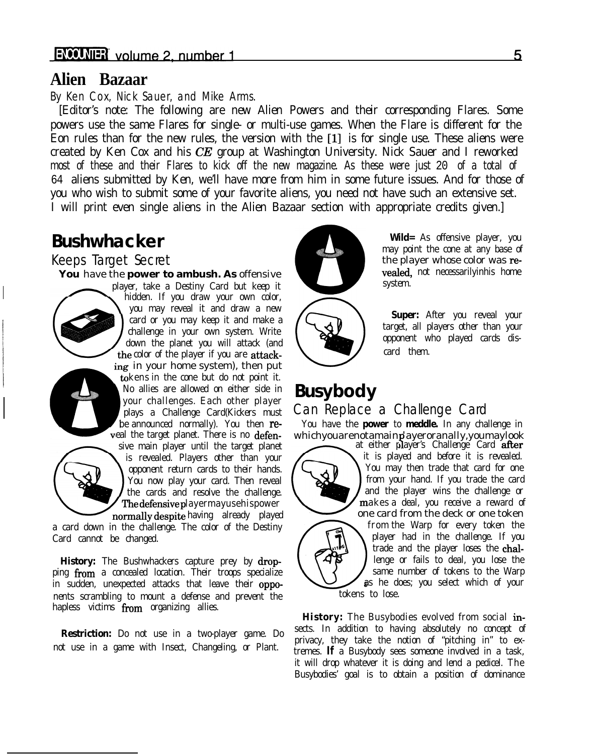#### **Alien Bazaar**

#### By Ken Cox, Nick Sauer, and Mike Arms.

[Editor's note: The following are new Alien Powers and their corresponding Flares. Some powers use the same Flares for single- or multi-use games. When the Flare is different for the Eon rules than for the new rules, the version with the [l] is for single use. These aliens were created by Ken Cox and his CE group at Washington University. Nick Sauer and I reworked most of these and their Flares to kick off the new magazine. As these were just 20 of a total of 64 aliens submitted by Ken, we'll have more from him in some future issues. And for those of you who wish to submit some of your favorite aliens, you need not have such an extensive set. I will print even single aliens in the Alien Bazaar section with appropriate credits given.]

### **Bushwhacker**

#### Keeps Target Secret

# player, take a Destiny Card but keep it



down the planet you will attack (and  $\sum_{\text{card}}$  opponent who calor of the player if you are attack the color of the player if you are attacking in your home system), then put tokens in the cone but do not point it. No allies are allowed on either side in No allies are allowed on either side in **Busybody**<br>your challenges. Each other player plays a Challenge Card(Kickers must Can Replace veal the target planet. There is no defen-<br>sive main player until the target planet at either player's Challenge Card after sive main player until the target planet at either player's Challenge Card **after**<br>is revealed. Players other than your is revealed. Players other than your  $\sum_{\text{subgroup}}$  it is played and before it is revealed.

the cards and resolve the challenge. The defensive player may use his power a reward of

a card down in the challenge. The color of the Destiny Card cannot be changed.

**History:** The Bushwhackers capture prey by drop-<br>ing from a concealed location. Their troops specialize same number of tokens to the Warp ping from a concealed location. Their troops specialize is a same number of tokens to the Warp<br>in sudden, unexpected attacks that leave their oppo-<br>as he does; you select which of your in sudden, unexpected attacks that leave their oppo-<br>nonts scrambling to mount a defense and provent the tokens to lose. nents scrambling to mount a defense and prevent the hapless victims  $from$  organizing allies.

not use in a game with Insect, Changeling, or Plant.



**Wild=** As offensive player, you may point the cone at any base of the player whose color was re-**You** have the **power to ambush. As** offensive vealed, not necessarilyinhis home vealed, not necessarilyinhis home system.

> you may reveal it and waw a new<br>card or you may keep it and make a **Super:** After you reveal your<br>challenge in your gradent White challenge in your own system. Write the state of the challenge in your own system. Write the change of the change of the change of the change of the change of the change of the change of the change of the change of the cha

### Can Replace a Challenge Card

be announced normally). You then re- You have the **power** to **meddle.** In any challenge in



opponent return cards to their hands. You may then trade that card for one You now play your card. Then reveal You now play your card. Then reveal from your hand. If you trade the card the cards and resolve the challenge. normally despite having already played one card from the deck or one token<br>in the challenge. The color of the Destiny from the Warp for every token the player had in the challenge. If you trade and the player loses the chal-

**History:** The Busybodies evolved from social in-**Restriction:** Do not use in a two-player game. Do sects. In addition to having absolutely no concept of privacy, they take the notion of "pitching in" to extremes. **If** a Busybody sees someone involved in a task, it will drop whatever it is doing and lend a pedicel. The Busybodies' goal is to obtain a position of dominance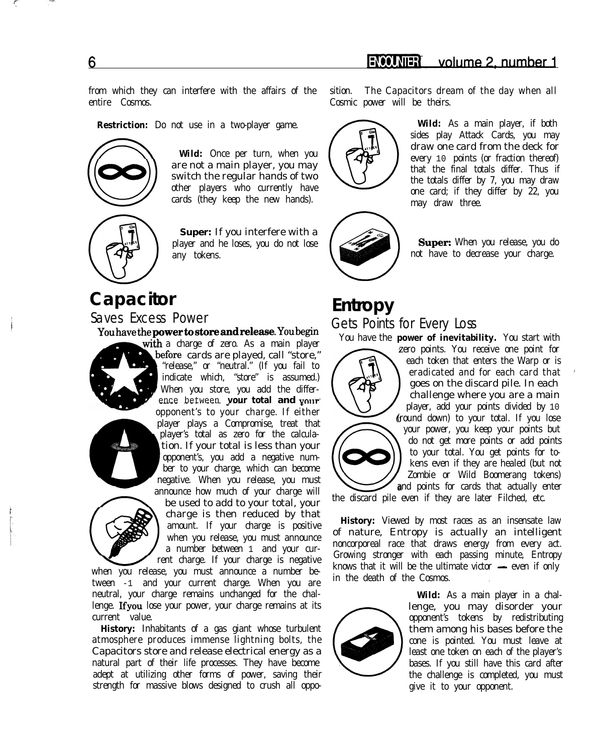from which they can interfere with the affairs of the sition. The Capacitors dream of the day when all entire Cosmos. Cosmic power will be theirs.

**Restriction:** Do not use in a two-player game.



**Wild:** Once per turn, when you are not a main player, you may switch the regular hands of two other players who currently have cards (they keep the new hands).

**Super:** If you interfere with a player and he loses, you do not lose any tokens.

## **Capacitor**

Saves Excess Power

You have the **power to store and release**. You begin







with a charge of zero. As a main player before cards are played, call "store," When you store, you add the differ-"release," or "neutral." (If you fail to indicate which, "store" is assumed.) ence between **your total and your** opponent's to your charge. If either player plays a Compromise, treat that player's total as zero for the calculation. If your total is less than your opponent's, you add a negative number to your charge, which can become negative. When you release, you must announce how much of your charge will

be used to add to your total, your charge is then reduced by that amount. If your charge is positive when you release, you must announce a number between 1 and your current charge. If your charge is negative

when you release, you must announce a number between -1 and your current charge. When you are neutral, your charge remains unchanged for the challenge. Ifyou lose your power, your charge remains at its current value.

**History:** Inhabitants of a gas giant whose turbulent atmosphere produces immense lightning bolts, the Capacitors store and release electrical energy as a natural part of their life processes. They have become adept at utilizing other forms of power, saving their strength for massive blows designed to crush all oppo-





draw one card from the deck for every 10 points (or fraction thereof) that the final totals differ. Thus if the totals differ by 7, you may draw one card; if they differ by 22, you may draw three.

**Wild:** As a main player, if both sides play Attack Cards, you may

Super: When you release, you do not have to decrease your charge.

### **Entropy** Gets Points for Every Loss



You have the **power of inevitability.** You start with zero points. You receive one point for each token that enters the Warp or is eradicated and for each card that ' goes on the discard pile. In each challenge where you are a main player, add your points divided by 10 (round down) to your total. If you lose your power, you keep your points but do not get more points or add points to your total. You get points for tokens even if they are healed (but not Zombie or Wild Boomerang tokens) and points for cards that actually enter

the discard pile even if they are later Filched, etc.

**History:** Viewed by most races as an insensate law of nature, Entropy is actually an intelligent noncorporeal race that draws energy from every act. Growing stronger with each passing minute, Entropy knows that it will be the ultimate victor  $\text{---}$  even if only in the death of the Cosmos.



**Wild:** As a main player in a challenge, you may disorder your opponent's tokens by redistributing them among his bases before the cone is pointed. You must leave at least one token on each of the player's bases. If you still have this card after the challenge is completed, you must give it to your opponent.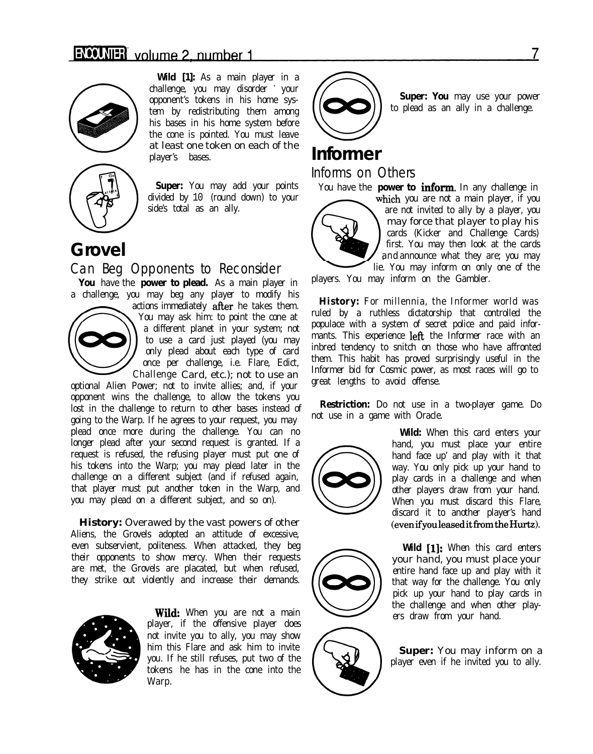

**Wild [1]:** As a main player in a challenge, you may disorder \* your opponent's tokens in his home system by redistributing them among his bases in his home system before the cone is pointed. You must leave at least one token on each of the player's bases.



**Super:** You may add your points divided by 10 (round down) to your side's total as an ally.

### **Grovel**

#### Can Beg Opponents to Reconsider

You have the **power to plead.** As a main player in a challenge, you may beg any player to modify his



actions immediately aRer he takes them. You may ask him: to point the cone at a different planet in your system; not to use a card just played (you may only plead about each type of card once per challenge, i.e. Flare, Edict, Challenge Card, etc.); not to use an

optional Alien Power; not to invite allies; and, if your opponent wins the challenge, to allow the tokens you lost in the challenge to return to other bases instead of going to the Warp. If he agrees to your request, you may plead once more during the challenge. You can no longer plead after your second request is granted. If a request is refused, the refusing player must put one of his tokens into the Warp; you may plead later in the challenge on a different subject (and if refused again, that player must put another token in the Warp, and you may plead on a different subject, and so on).

**History:** Overawed by the vast powers of other Aliens, the Grovels adopted an attitude of excessive, even subservient, politeness. When attacked, they beg their opponents to show mercy. When their requests are met, the Grovels are placated, but when refused, they strike out violently and increase their demands.



**Wild:** When you are not a main player, if the offensive player does not invite you to ally, you may show him this Flare and ask him to invite you. If he still refuses, put two of the tokens he has in the cone into the Warp.



**Super: You** may use your power to plead as an ally in a challenge.

### **Informer**

Informs on Others

You have the **power to inform**. In any challenge in



which you are not a main player, if you are not invited to ally by a player, you may force that player to play his cards (Kicker and Challenge Cards) first. You may then look at the cards and announce what they are; you may lie. You may inform on only one of the

players. You may inform on the Gambler.

**History:** For millennia, the Informer world was ruled by a ruthless dictatorship that controlled the populace with a system of secret police and paid informants. This experience left the Informer race with an inbred tendency to snitch on those who have affronted them. This habit has proved surprisingly useful in the Informer bid for Cosmic power, as most races will go to great lengths to avoid offense.

**Restriction:** Do not use in a two-player game. Do not use in a game with Oracle.





**Wild [I]:** When this card enters your hand, you must place your entire hand face up and play with it that way for the challenge. You only pick up your hand to play cards in the challenge and when other players draw from your hand.

**Super:** You may inform on a player even if he invited you to ally.

7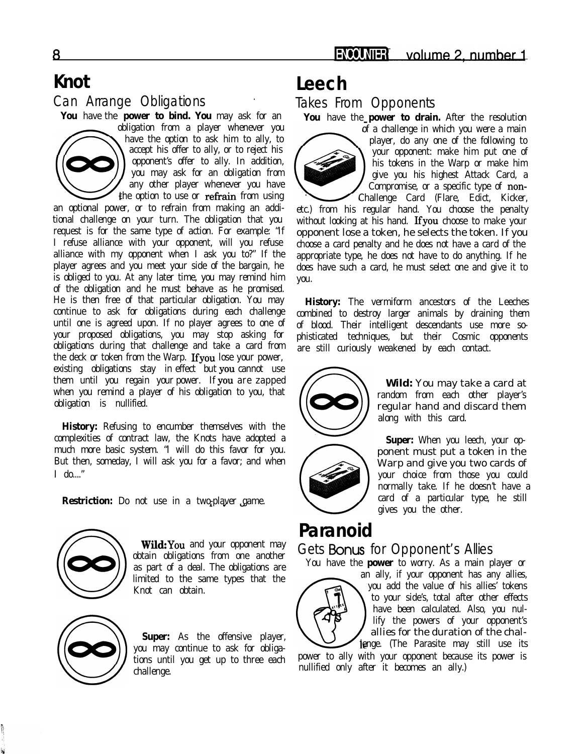### **Knot** Can Arrange Obligations

**You** have the **power to bind. You** may ask for an



obligation from a player whenever you have the option to ask him to ally, to accept his offer to ally, or to reject his opponent's offer to ally. In addition, you may ask for an obligation from any other player whenever you have the option to use or refrain from using

an optional power, or to refrain from making an additional challenge on your turn. The obligation that you request is for the same type of action. For example: "If I refuse alliance with your opponent, will you refuse alliance with my opponent when I ask you to?" If the player agrees and you meet your side of the bargain, he is obliged to you. At any later time, you may remind him of the obligation and he must behave as he promised. He is then free of that particular obligation. You may continue to ask for obligations during each challenge until one is agreed upon. If no player agrees to one of your proposed obligations, you may stop asking for obligations during that challenge and take a card from the deck or token from the Warp. Ifyou lose your power, existing obligations stay in effect but YOU cannot use them until you regain your power. If YOU are zapped when you remind a player of his obligation to you, that obligation is nullified.

**History:** Refusing to encumber themselves with the complexities of contract law, the Knots have adopted a much more basic system. "I will do this favor for you. But then, someday, I will ask you for a favor; and when I do...."

**Restriction:** Do not use in a two-player game.



**Wild:**You and your opponent may obtain obligations from one another as part of a deal. The obligations are limited to the same types that the Knot can obtain.



**Super:** As the offensive player, you may continue to ask for obligations until you get up to three each challenge.

## **Leech**

Takes From Opponents

You have the **power to drain.** After the resolution



of a challenge in which you were a main player, do any one of the following to your opponent: make him put one of his tokens in the Warp or make him give you his highest Attack Card, a Compromise, or a specific type of non-Challenge Card (Flare, Edict, Kicker,

etc.) from his regular hand. You choose the penalty without looking at his hand. Ifyou choose to make your opponent lose a token, he selects the token. If you choose a card penalty and he does not have a card of the appropriate type, he does not have to do anything. If he does have such a card, he must select one and give it to you.

**History:** The vermiform ancestors of the Leeches combined to destroy larger animals by draining them of blood. Their intelligent descendants use more sophisticated techniques, but their Cosmic opponents are still curiously weakened by each contact.



**Wild:** You may take a card at random from each other player's regular hand and discard them along with this card.



**Super:** When you leech, your opponent must put a token in the Warp and give you two cards of your choice from those you could normally take. If he doesn't have a card of a particular type, he still gives you the other.

### **Paranoid**

#### Gets **Bonus** for Opponent's Allies

You have the **power** to worry. As a main player or



an ally, if your opponent has any allies, to your side's, total after other effects<br>have been calculated. Also, you nul-<br>lify the powers of your opponent's<br>allies for the duration of the chal-<br>lenge. (The Parasite may still use its<br>power to ally with your opponent you add the value of his allies' tokens to your side's, total after other effects have been calculated. Also, you nullify the powers of your opponent's allies for the duration of the chal-

lenge. (The Parasite may still use its nullified only after it becomes an ally.)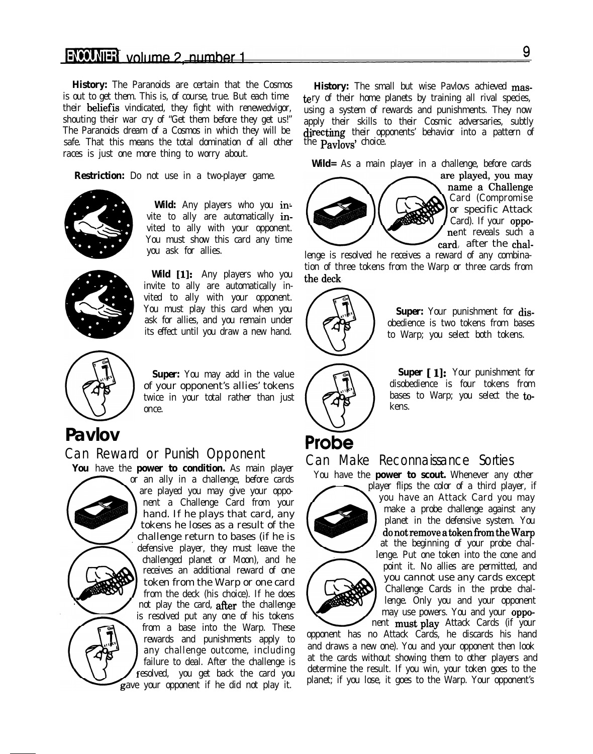#### ENCOMER volume 2\_number 1

**History:** The Paranoids are certain that the Cosmos is out to get them. This is, of course, true. But each time their beliefis vindicated, they fight with renewedvigor, shouting their war cry of "Get them before they get us!" The Paranoids dream of a Cosmos in which they will be safe. That this means the total domination of all other the **Pavlovs'** choice. races is just one more thing to worry about.

**Restriction:** Do not use in a two-player game.



**Wild:** Any players who you in: vite to ally are automatically invited to ally with your opponent. You must show this card any time  $\sim$  card after the chalyou ask for allies.<br>
you ask for allies. The chal-<br>
lenge is resolved he receives a reward of any combina-



**Wild [1]:** Any players who you invite to ally are automatically invited to ally with your opponent. You must play this card when you ask for allies, and you remain under its effect until you draw a new hand.  $\left\{\begin{array}{c} \left\{\begin{array}{c} \left\{\right\}\end{array}\right\}^{\infty} \right\}$  to Warp; you select both tokens.



**Super:** You may add in the value of your opponent's allies' tokens twice in your total rather than just once.

### **Pavlov**

#### Can Reward or Punish Opponent

**w.**

You have the **power to condition.** As main player or an ally in a challenge, before cards are played you may give your opponent a Challenge Card from your hand. If he plays that card, any tokens he loses as a result of the challenge return to bases (if he is defensive player, they must leave the challenged planet or Moon), and he receives an additional reward of one token from the Warp or one card from the deck (his choice). If he does not play the card, after the challenge is resolved put any one of his tokens from a base into the Warp. These rewards and punishments apply to any challenge outcome, including failure to deal. After the challenge is resolved, you get back the card you ave your opponent if he did not play it.

**History:** The small but wise Pavlovs achieved mastery of their home planets by training all rival species, using a system of rewards and punishments. They now apply their skills to their Cosmic adversaries, subtly  $d$ **irecting** their opponents' behavior into a pattern of

**Wild=** As a main player in a challenge, before cards



are played, you may name a Challenge Card (Compromise or specific Attack

tion of three tokens from the Warp or three cards from the deck .



**Super:** Your punishment for disobedience is two tokens from bases

**Super [1]:** Your punishment for disobedience is four tokens from bases to Warp; you select the tokens.

# Probe

#### Can Make Reconnaissance Sorties

You have the **power to scout.** Whenever any other



player flips the color of a third player, if you have an Attack Card you may make a probe challenge against any planet in the defensive system. You  $\dot{d}$ o not remove a token from the Warp at the beginning of your probe challenge. Put one token into the cone and point it. No allies are permitted, and you cannot use any cards except Challenge Cards in the probe challenge. Only you and your opponent Challenge Cards in the probe challenge. Only you and your opponent may use powers. You and your opponent may use powers. You and your opponent has no Attack Cards, he discards his hand may use powers. You and your opponent must play Attack Cards (if your

and draws a new one). You and your opponent then look at the cards without showing them to other players and determine the result. If you win, your token goes to the planet; if you lose, it goes to the Warp. Your opponent's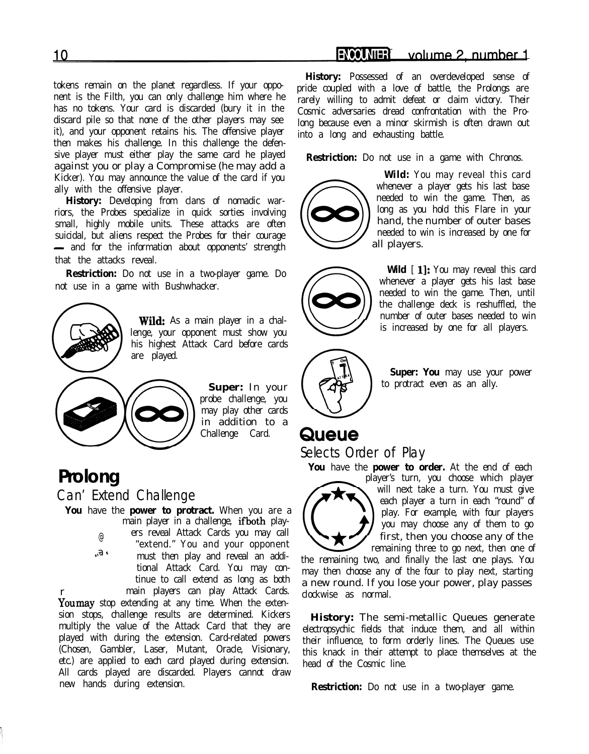#### volume 2, number 1 **ENCOUNTER**

tokens remain on the planet regardless. If your opponent is the Filth, you can only challenge him where he has no tokens. Your card is discarded (bury it in the discard pile so that none of the other players may see it), and your opponent retains his. The offensive player then makes his challenge. In this challenge the defensive player must either play the same card he played against you or play a Compromise (he may add a Kicker). You may announce the value of the card if you ally with the offensive player.

**History:** Developing from clans of nomadic warriors, the Probes specialize in quick sorties involving small, highly mobile units. These attacks are often suicidal, but aliens respect the Probes for their courage - and for the information about opponents' strength that the attacks reveal.

**Restriction:** Do not use in a two-player game. Do not use in a game with Bushwhacker.



Wild: As a main player in a challenge, your opponent must show you his highest Attack Card before cards are played.



**Super:** In your probe challenge, you may play other cards in addition to a Challenge Card.

### **Prolong**

Can' Extend Challenge

You have the **power to protract.** When you are a main player in a challenge, ifboth play- @  $F_{I_A}$ ers reveal Attack Cards you may call "extend." You and your opponent must then play and reveal an additional Attack Card. You may continue to call extend as long as both main players can play Attack Cards.

r Youmay stop extending at any time. When the extension stops, challenge results are determined. Kickers multiply the value of the Attack Card that they are played with during the extension. Card-related powers (Chosen, Gambler, Laser, Mutant, Oracle, Visionary, etc.) are applied to each card played during extension. All cards played are discarded. Players cannot draw new hands during extension.

**History:** Possessed of an overdeveloped sense of pride coupled with a love of battle, the Prolongs are rarely willing to admit defeat or claim victory. Their Cosmic adversaries dread confrontation with the Prolong because even a minor skirmish is often drawn out into a long and exhausting battle.

**Restriction:** Do not use in a game with Chronos.



**Wild:** You may reveal this card whenever a player gets his last base needed to win the game. Then, as long as you hold this Flare in your hand, the number of outer bases needed to win is increased by one for all players.



Wild  $[1]$ : You may reveal this card whenever a player gets his last base needed to win the game. Then, until the challenge deck is reshuffled, the number of outer bases needed to win is increased by one for all players.



to protract even as an ally.

### Queue

Selects Order of Play

You have the **power to order.** At the end of each player's turn, you choose which player will next take a turn. You must give each player a turn in each "round" of play. For example, with four players you may choose any of them to go

first, then you choose any of the remaining three to go next, then one of the remaining two, and finally the last one plays. You may then choose any of the four to play next, starting a new round. If you lose your power, play passes clockwise as normal.

**History:** The semi-metallic Queues generate electropsychic fields that induce them, and all within their influence, to form orderly lines. The Queues use this knack in their attempt to place themselves at the head of the Cosmic line.

**Restriction:** Do not use in a two-player game.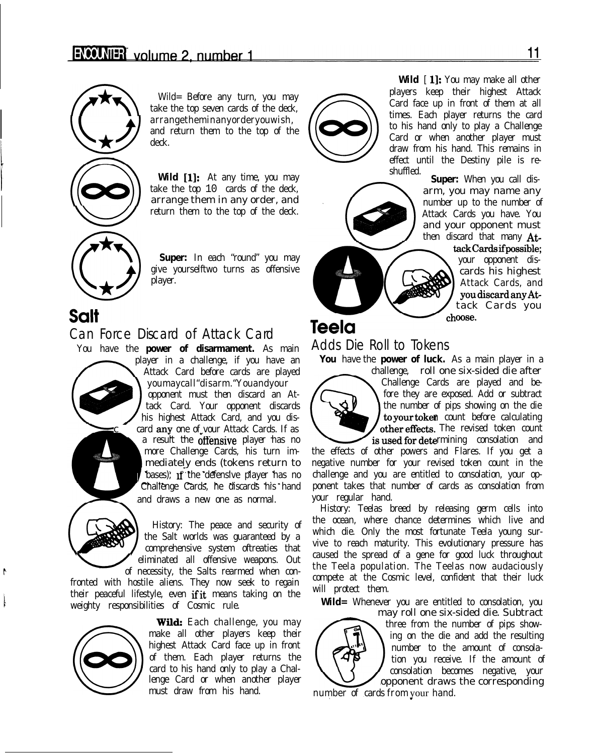

take the top seven cards of the deck, arrangetheminanyorderyouwish, and return them to the top of the deck.

Wild [1]: At any time, you may take the top 10 cards of the deck, arrange them in any order, and return them to the top of the deck.



**Super:** In each "round" you may give yourselftwo turns as offensive player.

Salt

#### Can Force Discard of Attack Card

You have the **power of disarmament.** As main

player in a challenge, if you have an Attack Card before cards are played youmaycall"disarm."Youandyour opponent must then discard an Attack Card. Your opponent discards his highest Attack Card, and you discard any one of vour Attack Cards. If as a result the ofiensive player has no more Challenge Cards, his turn immediately ends (tokens return to bases); if the defensive player has no Challenge Cards, he discards his hand and draws a new one as normal.



History: The peace and security of the Salt worlds was guaranteed by a comprehensive system oftreaties that eliminated all offensive weapons. Out

of necessity, the Salts rearmed when confronted with hostile aliens. They now seek to regain their peaceful lifestyle, even if it means taking on the weighty responsibilities of Cosmic rule.



**Wilds** Each challenge, you may make all other players keep their highest Attack Card face up in front of them. Each player returns the card to his hand only to play a Challenge Card or when another player must draw from his hand.



Wild [1]: You may make all other players keep their highest Attack Card face up in front of them at all times. Each player returns the card to his hand only to play a Challenge Card or when another player must draw from his hand. This remains in effect until the Destiny pile is reshuffled.

**Super:** When you call disarm, you may name any number up to the number of Attack Cards you have. You and your opponent must then discard that many At-



ackCardsifpossible; your opponent discards his highest Attack Cards, and youdiscardanyAttack Cards you choose.

## **Teela**

#### Adds Die Roll to Tokens

**You** have the **power of luck.** As a main player in a



challenge, roll one six-sided die after Challenge Cards are played and before they are exposed. Add or subtract the number of pips showing on the die to vour token count before calculating other effects. The revised token count is used for determining consolation and

the effects of other powers and Flares. If you get a negative number for your revised token count in the challenge and you are entitled to consolation, your opponent takes that number of cards as consolation from your regular hand.

History: Teelas breed by releasing germ cells into the ocean, where chance determines which live and which die. Only the most fortunate Teela young survive to reach maturity. This evolutionary pressure has caused the spread of a gene for good luck throughout the Teela population. The Teelas now audaciously compete at the Cosmic level, confident that their luck will protect them.

**Wild=** Whenever you are entitled to consolation, you



may roll one six-sided die. Subtract three from the number of pips showing on the die and add the resulting number to the amount of consolation you receive. If the amount of consolation becomes negative, your opponent draws the corresponding

number of cards from your hand.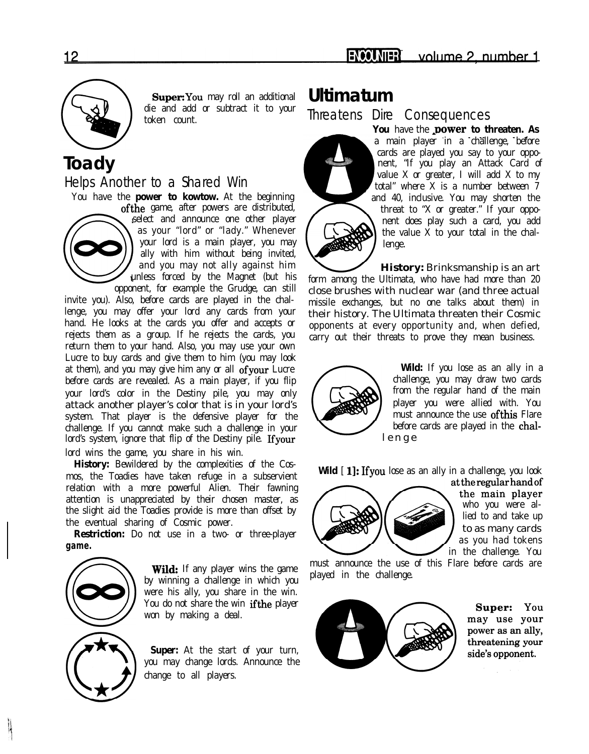

Super: You may roll an additional die and add or subtract it to your token count.

### **Toady**

Helps Another to a Shared Win



You have the **power to kowtow.** At the beginning ofthe game, after powers are distributed, select and announce one other player as your "lord" or "lady." Whenever your lord is a main player, you may ally with him without being invited, and you may not ally against him unless forced by the Magnet (but his

opponent, for example the Grudge, can still invite you). Also, before cards are played in the challenge, you may offer your lord any cards from your hand. He looks at the cards you offer and accepts or rejects them as a group. If he rejects the cards, you return them to your hand. Also, you may use your own Lucre to buy cards and give them to him (you may look at them), and you may give him any or all ofyour Lucre before cards are revealed. As a main player, if you flip your lord's color in the Destiny pile, you may only attack another player's color that is in your lord's system. That player is the defensive player for the challenge. If you cannot make such a challenge in your lord's system, ignore that flip of the Destiny pile. Ifyour lord wins the game, you share in his win.

**History:** Bewildered by the complexities of the Cosmos, the Toadies have taken refuge in a subservient relation with a more powerful Alien. Their fawning attention is unappreciated by their chosen master, as the slight aid the Toadies provide is more than offset by the eventual sharing of Cosmic power.

**Restriction:** Do not use in a two- or three-player **game.**



**Wild:** If any player wins the game by winning a challenge in which you were his ally, you share in the win. You do not share the win ifthe player won by making a deal.

**Super:** At the start of your turn, you may change lords. Announce the change to all players.

### **Ultimatum**

Threatens Dire Consequences



You have the **power to threaten. As** a main player in a challenge, before cards are played you say to your opponent, "If you play an Attack Card of value  $X$  or greater, I will add  $X$  to my total" where X is a number between 7 and 40, inclusive. You may shorten the threat to "X or greater." If your opponent does play such a card, you add the value  $\overline{X}$  to your total in the challenge.

**History:** Brinksmanship is an art form among the Ultimata, who have had more than 20 close brushes with nuclear war (and three actual missile exchanges, but no one talks about them) in their history. The Ultimata threaten their Cosmic opponents at every opportunity and, when defied, carry out their threats to prove they mean business.



**Wild:** If you lose as an ally in a challenge, you may draw two cards from the regular hand of the main player you were allied with. You must announce the use ofthis Flare before cards are played in the chal lenge.

**Wild** [ 1]: If you lose as an ally in a challenge, you look



at the regular hand of the main player who you were allied to and take up to as many cards as you had tokens in the challenge. You

must announce the use of this Flare before cards are played in the challenge.



Super: You may use your power as an ally, threatening your side's opponent.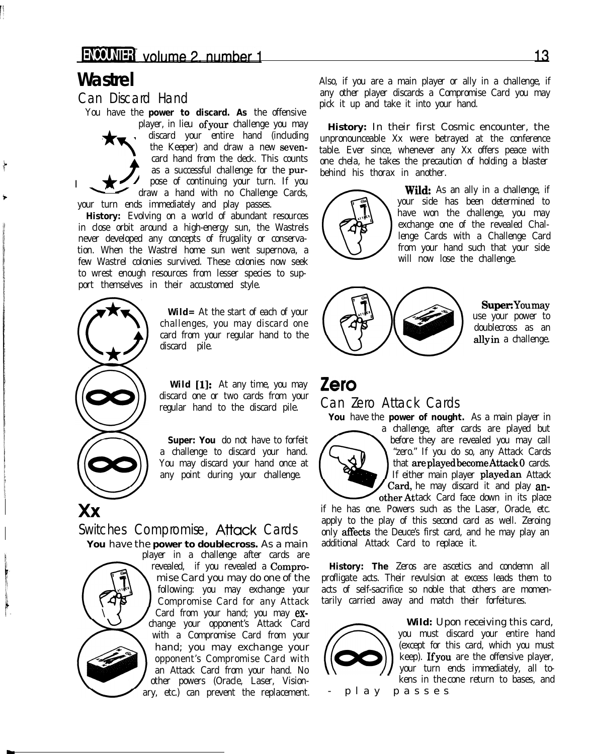I

1

 $\bigstar$ 

You have the **power to discard. As** the offensive \*

player, in lieu ofyour challenge you may discard your entire hand (including the Keeper) and draw a new sevencard hand from the deck. This counts  $\sum_{i=1}^{n}$ as a successful challenge for the purpose of continuing your turn. If you draw a hand with no Challenge Cards, your turn ends immediately and play passes.

**History:** Evolving on a world of abundant resources in close orbit around a high-energy sun, the Wastrels never developed any concepts of frugality or conservation. When the Wastrel home sun went supernova, a few Wastrel colonies survived. These colonies now seek to wrest enough resources from lesser species to support themselves in their accustomed style.



**Wild=** At the start of each of your challenges, you may discard one card from your regular hand to the discard pile.

Wild [1]: At any time, you may discard one or two cards from your regular hand to the discard pile.

**Super: You** do not have to forfeit a challenge to discard your hand. You may discard your hand once at any point during your challenge.

#### Switches Compromise, **Attack** Cards **You** have the **power to doublecross.** As a main

player in a challenge after cards are Card from your hand; you may exchange your opponent's Attack Card with a Compromise Card from your hand; you may exchange your opponent's Compromise Card with an Attack Card from your hand. No other powers (Oracle, Laser, Visionary, etc.) can prevent the replacement.

**Wastrel** Also, if you are a main player or ally in a challenge, if Can Discard Hand any other player discards a Compromise Card you may pick it up and take it into your hand.

> **History:** In their first Cosmic encounter, the unpronounceable Xx were betrayed at the conference table. Ever since, whenever any Xx offers peace with one chela, he takes the precaution of holding a blaster behind his thorax in another.



**Wild:** As an ally in a challenge, if your side has been determined to have won the challenge, you may exchange one of the revealed Challenge Cards with a Challenge Card from your hand such that your side will now lose the challenge.



Super: Youmay ' use your power to doublecross as an allyin a challenge.

### **Zero**

#### Can Zero Attack Cards

**You** have the **power of nought.** As a main player in



a challenge, after cards are played but before they are revealed you may call "zero." If you do so, any Attack Cards that areplayedbecomeAttack0 cards. If either main player playedan Attack Card, he may discard it and play another Attack Card face down in its place

if he has one. Powers such as the Laser, Oracle, etc. apply to the play of this second card as well. Zeroing only affects the Deuce's first card, and he may play an additional Attack Card to replace it.

revealed, if you revealed a Compro- **History: The** Zeros are ascetics and condemn all mise Card you may do one of the profligate acts. Their revulsion at excess leads them to following: you may exchange your acts of self-sacrifice so noble that others are momen-Compromise Card for any Attack tarily carried away and match their forfeitures.



**Wild:** Upon receiving this card, you must discard your entire hand (except for this card, which you must keep). Ifyou are the offensive player, your turn ends immediately, all tokens in the cone return to bases, and - play passes.

<u> 13</u>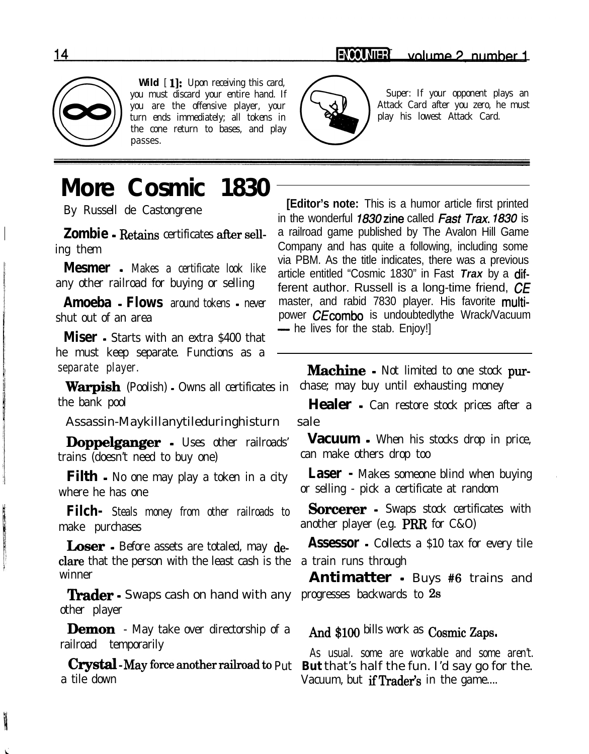

Wild  $[1]:$  Upon receiving this card, you must discard your entire hand. If  $\sqrt{\phantom{a}}$  Super: If your opponent plays an you are the offensive player, your  $\{\searrow\, \downarrow\}$  Attack Card after you zero, he must turn ends immediately; all tokens in  $\left\{\right.$   $\left\{\right.$   $\right\}$  play his lowest Attack Card. the cone return to bases, and play passes.



# **More Cosmic 1830**

any other railroad for buying or selling

**Miser** - Starts with an extra \$400 that he must keep separate. Functions as a

the bank pool **Healer -** Can restore stock prices after a

Assassin-Maykillanytileduringhisturn sale

trains (doesn't need to buy one) can make others drop too

where he has one or selling - pick a certificate at random

make purchases another player (e.g. PRR for C&O)

clare that the person with the least cash is the a train runs through winner **Antimatter** - Buys #6 trains and

**Trader** • Swaps cash on hand with any progresses backwards to 2s other player

**Demon** - May take over directorship of a And \$100 bills work as Cosmic Zaps. railroad temporarily As usual. some are workable and some aren't.

By Russell de Castongrene **[Editor's note:** This is a humor article first printed in the wonderful 7830zine called Fast *Trax. 7830* is **Zombie** - Retains certificates after sell- a railroad game published by The Avalon Hill Game ing them Company and has quite a following, including some wia PBM. As the title indicates, there was a previous<br>**Mesmer** - Makes a certificate look like extitle entitled "Coomic 1830" in Foot Tray by a difarticle entitled "Cosmic 1830" in Fast *Trax* by a different author. Russell is a long-time friend, CE **Amoeba - Flows** around tokens - never master, and rabid 7830 player. His favorite multishut out of an area power CEcombo is undoubtedlythe Wrack/Vacuum<br>  $\frac{1}{2}$  he lives for the stab. Enjoy!]

separate player. **lackuprocess COV Machine** - Not limited to one stock pur-Warpish (Poolish) - Owns all certificates in chase; may buy until exhausting money

**Doppelganger** - Uses other railroads' **Vacuum -** When his stocks drop in price,

**Filth** • No one may play a token in a city **Laser** • Makes someone blind when buying

**Filch-** Steals money from other railroads to **Sorcerer -** Swaps stock certificates with

**Loser** - Before assets are totaled, may de- **Assessor** - Collects a \$10 tax for every tile

**crystal**-May force another railroad to Put But that's half the fun. I'd say go for the.<br>Vacuum but **if Trader's** in the game Vacuum, but if Trader's in the game....

the company of the company of the company of

**BATTLESS**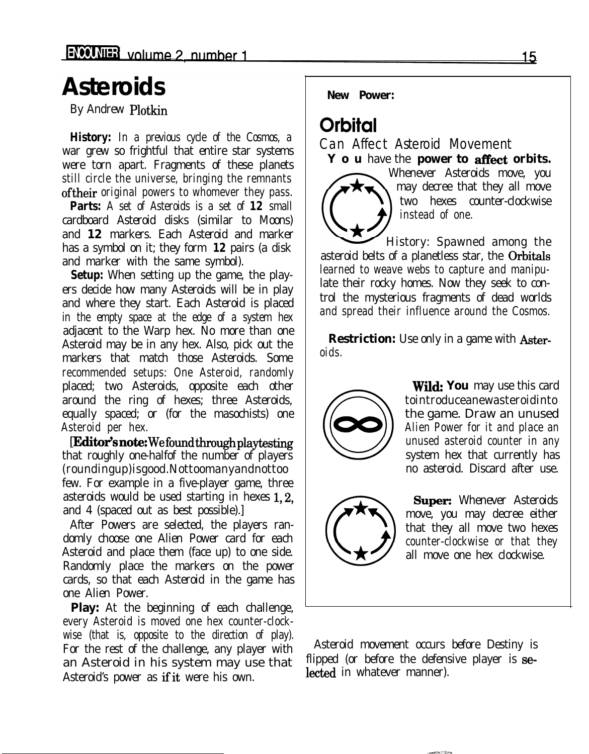# **Asteroids**

By Andrew Plotkin

**History:** In a previous cycle of the Cosmos, a war grew so frightful that entire star systems were torn apart. Fragments of these planets still circle the universe, bringing the remnants oftheir original powers to whomever they pass.

**Parts:** A set of Asteroids is a set of **12** small cardboard Asteroid disks (similar to Moons) and **12** markers. Each Asteroid and marker has a symbol on it; they form **12** pairs (a disk and marker with the same symbol).

**Setup:** When setting up the game, the players decide how many Asteroids will be in play and where they start. Each Asteroid is placed in the empty space at the edge of a system hex adjacent to the Warp hex. No more than one Asteroid may be in any hex. Also, pick out the markers that match those Asteroids. Some recommended setups: One Asteroid, randomly placed; two Asteroids, opposite each other around the ring of hexes; three Asteroids, equally spaced; or (for the masochists) one Asteroid per hex.

[Editor's note: We found through playtesting that roughly one-halfof the number of players (roundingup)isgood.Nottoomanyandnottoo few. For example in a five-player game, three asteroids would be used starting in hexes 1,2, and 4 (spaced out as best possible).]

After Powers are selected, the players randomly choose one Alien Power card for each Asteroid and place them (face up) to one side. Randomly place the markers on the power cards, so that each Asteroid in the game has one Alien Power.

**Play:** At the beginning of each challenge, every Asteroid is moved one hex counter-clockwise (that is, opposite to the direction of play). an Asteroid in his system may use that  $\frac{f_{\text{ilipped}}}{f_{\text{ilabeled}}}$  (or before the defensive player). Asteroid's power as if it were his own.

*New Power:*

### **Orbital**

Can Affect Asteroid Movement **Y o u** have the **power to affect orbits.** 



Whenever Asteroids move, you may decree that they all move two hexes counter-clockwise instead of one.

History: Spawned among the asteroid belts of a planetless star, the Orbitals learned to weave webs to capture and manipulate their rocky homes. Now they seek to control the mysterious fragments of dead worlds and spread their influence around the Cosmos.

**Restriction:** Use only in a game with Asteroids.



**Wild:** You may use this card tointroduceanewasteroidinto the game. Draw an unused Alien Power for it and place an unused asteroid counter in any system hex that currently has no asteroid. Discard after use.



Super: Whenever Asteroids move, you may decree either that they all move two hexes counter-clockwise or that they all move one hex clockwise.

For the rest of the challenge, any player with Asteroid movement occurs before Destiny is an Asteroid in his system may use that flipped (or before the defensive player is se-